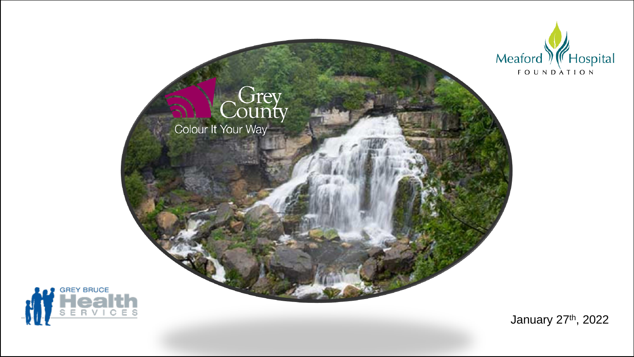





January 27th, 2022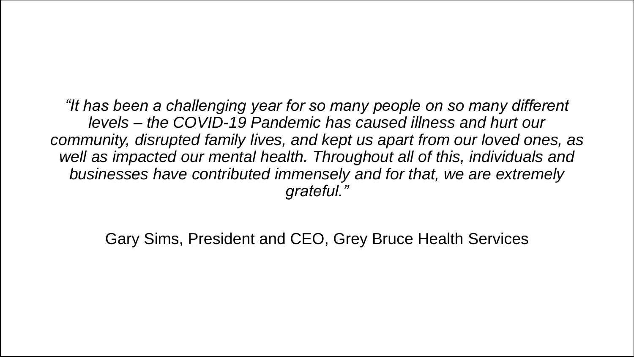*"It has been a challenging year for so many people on so many different levels – the COVID-19 Pandemic has caused illness and hurt our community, disrupted family lives, and kept us apart from our loved ones, as well as impacted our mental health. Throughout all of this, individuals and businesses have contributed immensely and for that, we are extremely grateful."*

Gary Sims, President and CEO, Grey Bruce Health Services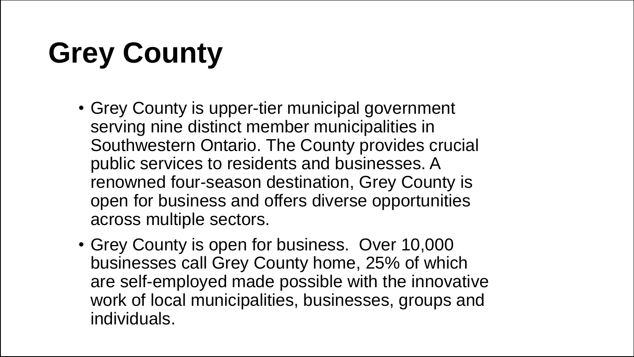# **Grey County**

- Grey County is upper-tier municipal government serving nine distinct member municipalities in Southwestern Ontario. The County provides crucial public services to residents and businesses. A renowned four-season destination, Grey County is open for business and offers diverse opportunities across multiple sectors.
- Grey County is open for business. Over 10,000 businesses call Grey County home, 25% of which are self-employed made possible with the innovative work of local municipalities, businesses, groups and individuals.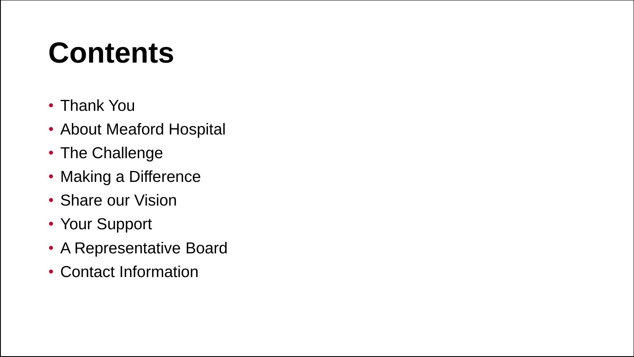## **Contents**

- Thank You
- About Meaford Hospital
- The Challenge
- Making a Difference
- Share our Vision
- Your Support
- A Representative Board
- Contact Information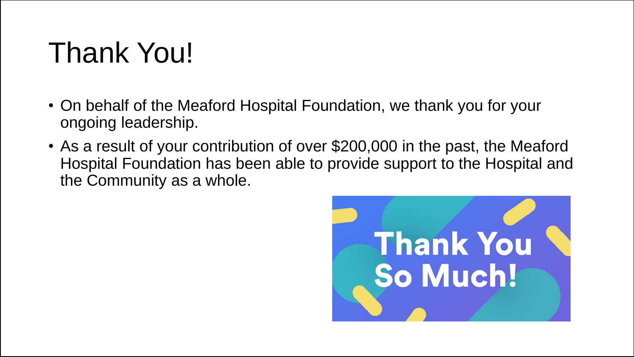## Thank You!

- On behalf of the Meaford Hospital Foundation, we thank you for your ongoing leadership.
- As a result of your contribution of over \$200,000 in the past, the Meaford Hospital Foundation has been able to provide support to the Hospital and the Community as a whole.

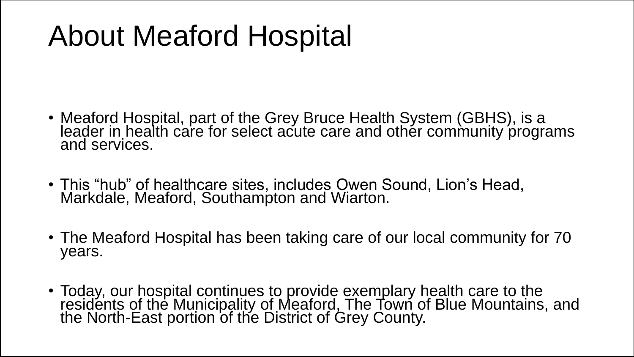## About Meaford Hospital

- Meaford Hospital, part of the Grey Bruce Health System (GBHS), is a leader in health care for select acute care and other community programs and services.
- This "hub" of healthcare sites, includes Owen Sound, Lion's Head, Markdale, Meaford, Southampton and Wiarton.
- The Meaford Hospital has been taking care of our local community for 70 years.
- Today, our hospital continues to provide exemplary health care to the residents of the Municipality of Meaford, The Town of Blue Mountains, and the North-East portion of the District of Grey County.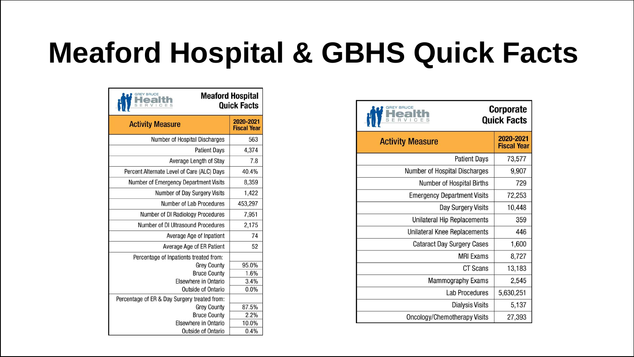## **Meaford Hospital & GBHS Quick Facts**

| <b>GREY BRUCE</b><br><b>Meaford Hospital</b><br><b>Quick Facts</b><br>R |                                 |
|-------------------------------------------------------------------------|---------------------------------|
| <b>Activity Measure</b>                                                 | 2020-2021<br><b>Fiscal Year</b> |
| Number of Hospital Discharges                                           | 563                             |
| <b>Patient Days</b>                                                     | 4,374                           |
| Average Length of Stay                                                  | 7.8                             |
| Percent Alternate Level of Care (ALC) Days                              | 40.4%                           |
| Number of Emergency Department Visits                                   | 8,359                           |
| Number of Day Surgery Visits                                            | 1,422                           |
| Number of Lab Procedures                                                | 453,297                         |
| Number of DI Radiology Procedures                                       | 7,951                           |
| Number of DI Ultrasound Procedures                                      | 2,175                           |
| Average Age of Inpatient                                                | 74                              |
| Average Age of ER Patient                                               | 52                              |
| Percentage of Inpatients treated from:                                  |                                 |
| <b>Grey County</b>                                                      | 95.0%                           |
| <b>Bruce County</b>                                                     | 1.6%                            |
| Elsewhere in Ontario                                                    | 3.4%                            |
| Outside of Ontario                                                      | 0.0%                            |
| Percentage of ER & Day Surgery treated from:                            |                                 |
| <b>Grey County</b>                                                      | 87.5%                           |
| <b>Bruce County</b>                                                     | 2.2%                            |
| Elsewhere in Ontario                                                    | 10.0%                           |
| Outside of Ontario                                                      | 0.4%                            |

| GREY BRUCE<br><b>Corporate</b><br><b>Quick Facts</b> |                                 |
|------------------------------------------------------|---------------------------------|
| <b>Activity Measure</b>                              | 2020-2021<br><b>Fiscal Year</b> |
| <b>Patient Days</b>                                  | 73,577                          |
| Number of Hospital Discharges                        | 9,907                           |
| Number of Hospital Births                            | 729                             |
| <b>Emergency Department Visits</b>                   | 72,253                          |
| Day Surgery Visits                                   | 10,448                          |
| Unilateral Hip Replacements                          | 359                             |
| Unilateral Knee Replacements                         | 446                             |
| <b>Cataract Day Surgery Cases</b>                    | 1,600                           |
| <b>MRI Exams</b>                                     | 8,727                           |
| CT Scans                                             | 13,183                          |
| <b>Mammography Exams</b>                             | 2,545                           |
| <b>Lab Procedures</b>                                | 5,630,251                       |
| Dialysis Visits                                      | 5,137                           |
| Oncology/Chemotherapy Visits                         | 27,393                          |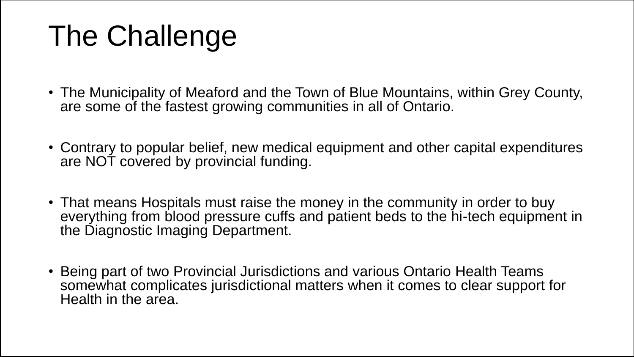# The Challenge

- The Municipality of Meaford and the Town of Blue Mountains, within Grey County, are some of the fastest growing communities in all of Ontario.
- Contrary to popular belief, new medical equipment and other capital expenditures are NOT covered by provincial funding.
- That means Hospitals must raise the money in the community in order to buy everything from blood pressure cuffs and patient beds to the hi-tech equipment in the Diagnostic Imaging Department.
- Being part of two Provincial Jurisdictions and various Ontario Health Teams somewhat complicates jurisdictional matters when it comes to clear support for Health in the area.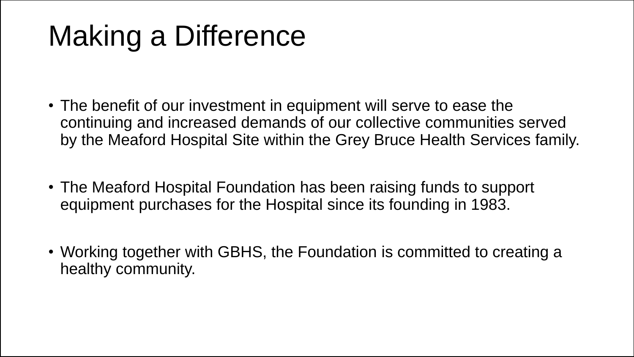# Making a Difference

- The benefit of our investment in equipment will serve to ease the continuing and increased demands of our collective communities served by the Meaford Hospital Site within the Grey Bruce Health Services family.
- The Meaford Hospital Foundation has been raising funds to support equipment purchases for the Hospital since its founding in 1983.
- Working together with GBHS, the Foundation is committed to creating a healthy community.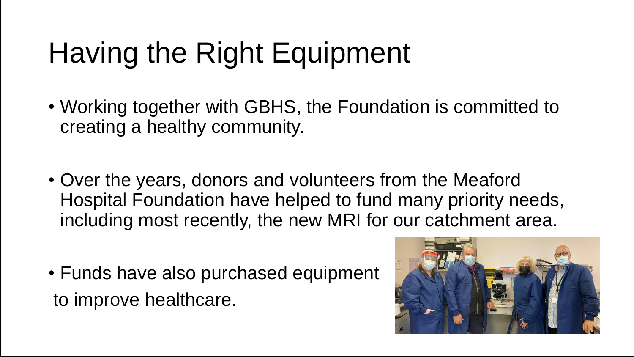# Having the Right Equipment

- Working together with GBHS, the Foundation is committed to creating a healthy community.
- Over the years, donors and volunteers from the Meaford Hospital Foundation have helped to fund many priority needs, including most recently, the new MRI for our catchment area.
- Funds have also purchased equipment to improve healthcare.

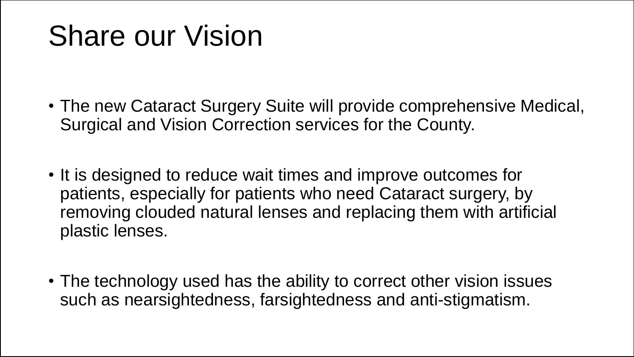### Share our Vision

- The new Cataract Surgery Suite will provide comprehensive Medical, Surgical and Vision Correction services for the County.
- It is designed to reduce wait times and improve outcomes for patients, especially for patients who need Cataract surgery, by removing clouded natural lenses and replacing them with artificial plastic lenses.
- The technology used has the ability to correct other vision issues such as nearsightedness, farsightedness and anti-stigmatism.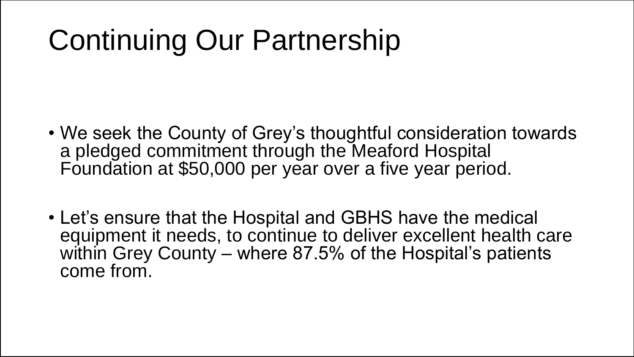# Continuing Our Partnership

- We seek the County of Grey's thoughtful consideration towards a pledged commitment through the Meaford Hospital Foundation at \$50,000 per year over a five year period.
- Let's ensure that the Hospital and GBHS have the medical equipment it needs, to continue to deliver excellent health care within Grey County – where 87.5% of the Hospital's patients come from.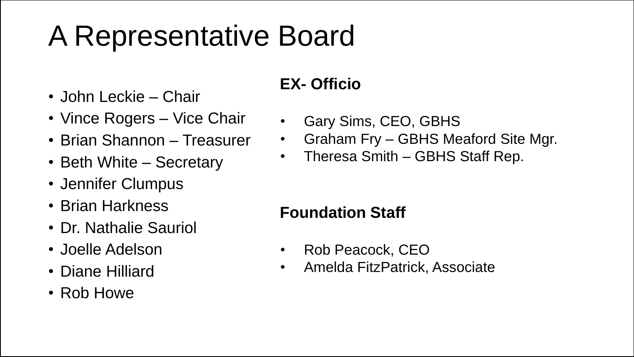# A Representative Board

- John Leckie Chair
- Vince Rogers Vice Chair
- Brian Shannon Treasurer
- Beth White Secretary
- Jennifer Clumpus
- Brian Harkness
- Dr. Nathalie Sauriol
- Joelle Adelson
- Diane Hilliard
- Rob Howe

#### **EX- Officio**

- Gary Sims, CEO, GBHS
- Graham Fry GBHS Meaford Site Mgr.
- Theresa Smith GBHS Staff Rep.

#### **Foundation Staff**

- Rob Peacock, CEO
- Amelda FitzPatrick, Associate